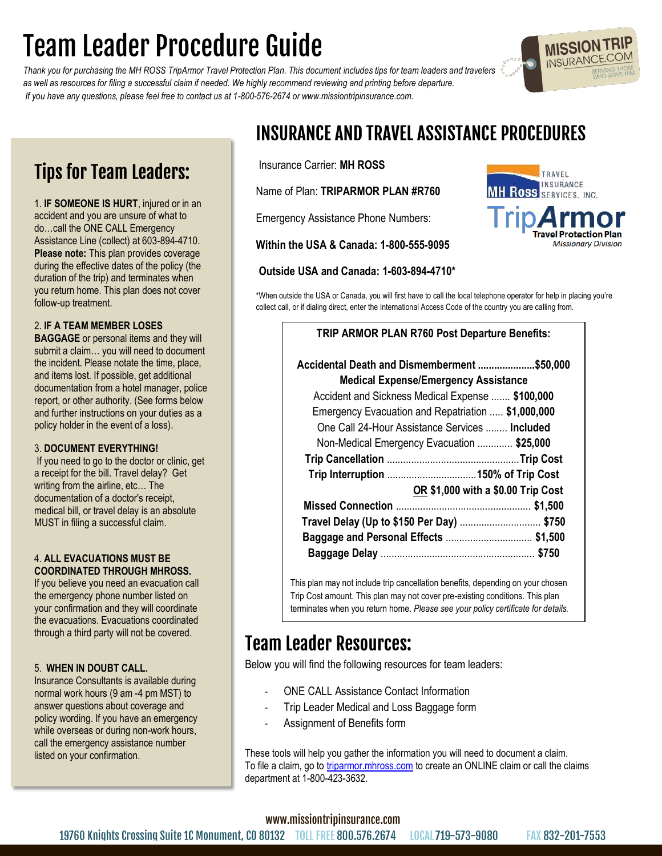# **Team Leader Procedure Guide**

*Thank you for purchasing the MH ROSS TripArmor Travel Protection Plan. This document includes tips for team leaders and travelers as well as resources for filing a successful claim if needed. We highly recommend reviewing and printing before departure. If you have any questions, please feel free to contact us at 1-800-576-2674 or www.missiontripinsurance.com.*

### **Tips for Team Leaders:**

1. **IF SOMEONE IS HURT**, injured or in an accident and you are unsure of what to do…call the ONE CALL Emergency Assistance Line (collect) at 603-894-4710. **Please note:** This plan provides coverage during the effective dates of the policy (the duration of the trip) and terminates when you return home. This plan does not cover follow-up treatment.

#### 2. **IF A TEAM MEMBER LOSES**

**BAGGAGE** or personal items and they will submit a claim… you will need to document the incident. Please notate the time, place, and items lost. If possible, get additional documentation from a hotel manager, police report, or other authority. (See forms below and further instructions on your duties as a policy holder in the event of a loss).

#### 3. **DOCUMENT EVERYTHING!**

If you need to go to the doctor or clinic, get a receipt for the bill. Travel delay? Get writing from the airline, etc… The documentation of a doctor's receipt, medical bill, or travel delay is an absolute MUST in filing a successful claim.

#### 4. **ALL EVACUATIONS MUST BE COORDINATED THROUGH MHROSS.**

If you believe you need an evacuation call the emergency phone number listed on your confirmation and they will coordinate the evacuations. Evacuations coordinated through a third party will not be covered.

#### 5. **WHEN IN DOUBT CALL.**

Insurance Consultants is available during normal work hours (9 am -4 pm MST) to answer questions about coverage and policy wording. If you have an emergency while overseas or during non-work hours, call the emergency assistance number listed on your confirmation.

## **INSURANCE AND TRAVEL ASSISTANCE PROCEDURES**

Insurance Carrier: **MH ROSS**

Name of Plan: **TRIPARMOR PLAN #R760**

Emergency Assistance Phone Numbers:

**Within the USA & Canada: 1-800-555-9095** 

#### **Outside USA and Canada: 1-603-894-4710\***

\*When outside the USA or Canada, you will first have to call the local telephone operator for help in placing you're collect call, or if dialing direct, enter the International Access Code of the country you are calling from.

#### **TRIP ARMOR PLAN R760 Post Departure Benefits:**

| Accidental Death and Dismemberment \$50,000<br><b>Medical Expense/Emergency Assistance</b> |  |  |
|--------------------------------------------------------------------------------------------|--|--|
| Accident and Sickness Medical Expense  \$100,000                                           |  |  |
| Emergency Evacuation and Repatriation  \$1,000,000                                         |  |  |
| One Call 24-Hour Assistance Services  Included                                             |  |  |
| Non-Medical Emergency Evacuation  \$25,000                                                 |  |  |
|                                                                                            |  |  |
|                                                                                            |  |  |
| OR \$1,000 with a \$0.00 Trip Cost                                                         |  |  |
|                                                                                            |  |  |
| Travel Delay (Up to \$150 Per Day)  \$750                                                  |  |  |
| Baggage and Personal Effects  \$1,500                                                      |  |  |
|                                                                                            |  |  |

This plan may not include trip cancellation benefits, depending on your chosen Trip Cost amount. This plan may not cover pre-existing conditions. This plan terminates when you return home. *Please see your policy certificate for details.* 

### **Team Leader Resources:**

Below you will find the following resources for team leaders:

- ONE CALL Assistance Contact Information
- Trip Leader Medical and Loss Baggage form
- Assignment of Benefits form

These tools will help you gather the information you will need to document a claim. To file a claim, go to [triparmor.mhross.com](https://triparmor.mhross.com/index.php) to create an ONLINE claim or call the claims department at 1-800-423-3632.

www.missiontripinsurance.com





**MISSION TRI** INSURANC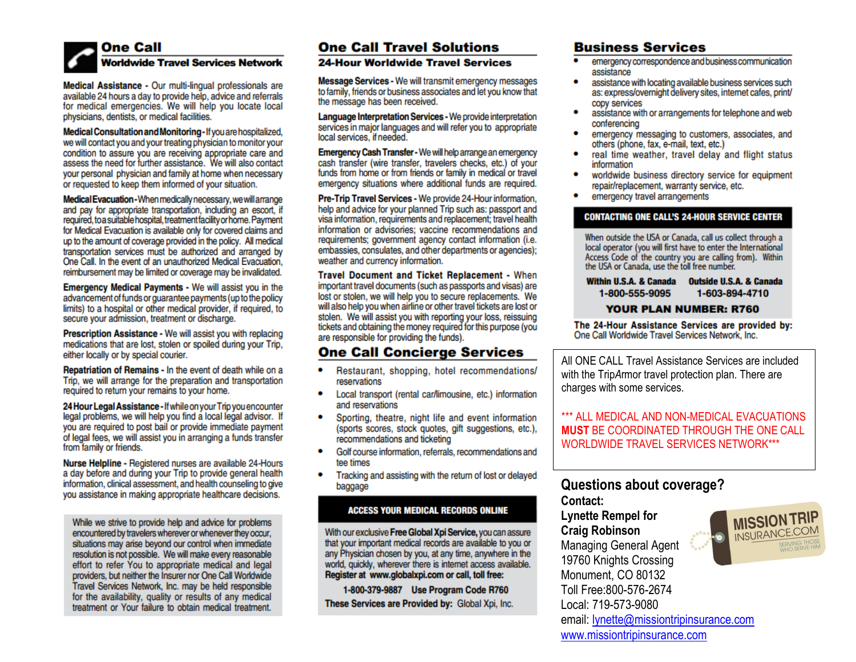### **One Call Worldwide Travel Services Network**

Medical Assistance - Our multi-lingual professionals are available 24 hours a day to provide help, advice and referrals for medical emergencies. We will help you locate local physicians, dentists, or medical facilities.

Medical Consultation and Monitoring-If you are hospitalized, we will contact you and your treating physician to monitor your condition to assure you are receiving appropriate care and assess the need for further assistance. We will also contact vour personal physician and family at home when necessary or requested to keep them informed of your situation.

Medical Evacuation - When medically necessary, we will arrange and pay for appropriate transportation, including an escort, if required, to a suitable hospital, treatment facility or home. Payment for Medical Evacuation is available only for covered claims and up to the amount of coverage provided in the policy. All medical transportation services must be authorized and arranged by One Call. In the event of an unauthorized Medical Evacuation, reimbursement may be limited or coverage may be invalidated.

Emergency Medical Payments - We will assist you in the advancement of funds or quarantee payments (up to the policy limits) to a hospital or other medical provider, if required, to secure your admission, treatment or discharge.

Prescription Assistance - We will assist you with replacing medications that are lost, stolen or spoiled during your Trip, either locally or by special courier.

Repatriation of Remains - In the event of death while on a Trip, we will arrange for the preparation and transportation required to return your remains to your home.

24 Hour Legal Assistance - If while on your Trip you encounter legal problems, we will help you find a local legal advisor. If you are required to post bail or provide immediate payment of legal fees, we will assist you in arranging a funds transfer from family or friends.

Nurse Helpline - Registered nurses are available 24-Hours a day before and during your Trip to provide general health information, clinical assessment, and health counseling to give you assistance in making appropriate healthcare decisions.

While we strive to provide help and advice for problems encountered by travelers wherever or whenever they occur, situations may arise beyond our control when immediate resolution is not possible. We will make every reasonable effort to refer You to appropriate medical and legal providers, but neither the Insurer nor One Call Worldwide Travel Services Network, Inc. may be held responsible for the availability, quality or results of any medical treatment or Your failure to obtain medical treatment.

### **One Call Travel Solutions**

#### **24-Hour Worldwide Travel Services**

Message Services - We will transmit emergency messages to family, friends or business associates and let you know that the message has been received.

Language Interpretation Services - We provide interpretation services in major languages and will refer you to appropriate local services, if needed.

Emergency Cash Transfer - We will help arrange an emergency cash transfer (wire transfer, travelers checks, etc.) of your funds from home or from friends or family in medical or travel emergency situations where additional funds are required.

Pre-Trip Travel Services - We provide 24-Hour information. help and advice for your planned Trip such as: passport and visa information, requirements and replacement; travel health information or advisories: vaccine recommendations and requirements; government agency contact information (i.e. embassies, consulates, and other departments or agencies); weather and currency information.

Travel Document and Ticket Replacement - When important travel documents (such as passports and visas) are lost or stolen, we will help you to secure replacements. We will also help you when airline or other travel tickets are lost or stolen. We will assist you with reporting your loss, reissuing tickets and obtaining the money required for this purpose (you are responsible for providing the funds).

### **One Call Concierge Services**

- ٠ Restaurant, shopping, hotel recommendations/ reservations
- Local transport (rental car/limousine, etc.) information ٠ and reservations
- Sporting, theatre, night life and event information (sports scores, stock quotes, gift suggestions, etc.), recommendations and ticketing
- Golf course information, referrals, recommendations and tee times
- Tracking and assisting with the return of lost or delayed baggage

#### **ACCESS YOUR MEDICAL RECORDS ONLINE**

With our exclusive Free Global Xpi Service, you can assure that your important medical records are available to you or any Physician chosen by you, at any time, anywhere in the world, quickly, wherever there is internet access available. Register at www.globalxpi.com or call, toll free:

1-800-379-9887 Use Program Code R760 These Services are Provided by: Global Xpi, Inc.

#### **Business Services**

- emergency correspondence and business communication assistance
- assistance with locating available business services such ٠ as: express/overnight delivery sites, internet cafes, print/ copy services
- $\bullet$ assistance with or arrangements for telephone and web conferencing
- emergency messaging to customers, associates, and others (phone, fax, e-mail, text, etc.)
- real time weather, travel delay and flight status information
- worldwide business directory service for equipment repair/replacement, warranty service, etc.
- emergency travel arrangements

#### **CONTACTING ONE CALL'S 24-HOUR SERVICE CENTER**

When outside the USA or Canada, call us collect through a local operator (you will first have to enter the International Access Code of the country you are calling from). Within<br>the USA or Canada, use the toll free number.

Within U.S.A. & Canada **Outside U.S.A. & Canada** 1-603-894-4710 1-800-555-9095

#### **YOUR PLAN NUMBER: R760**

The 24-Hour Assistance Services are provided by: One Call Worldwide Travel Services Network, Inc.

All ONE CALL Travel Assistance Services are included with the TripArmor travel protection plan. There are charges with some services.

\*\*\* ALL MEDICAL AND NON-MEDICAL EVACUATIONS **MUST BE COORDINATED THROUGH THE ONE CALL WORLDWIDE TRAVEL SERVICES NETWORK\*\*\*** 

#### **Questions about coverage?** Contact:

**Lynette Rempel for Craig Robinson Managing General Agent** 19760 Knights Crossing Monument. CO 80132 Toll Free: 800-576-2674 Local: 719-573-9080 email: lynette@missiontripinsurance.com www.missiontripinsurance.com

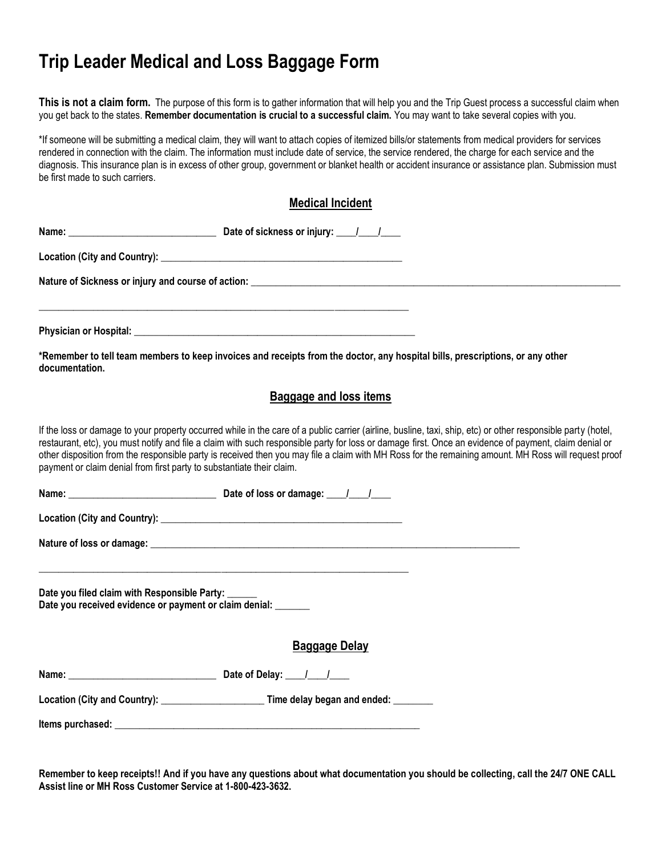### **Trip Leader Medical and Loss Baggage Form**

**This is not a claim form.** The purpose of this form is to gather information that will help you and the Trip Guest process a successful claim when you get back to the states. **Remember documentation is crucial to a successful claim.** You may want to take several copies with you.

\*If someone will be submitting a medical claim, they will want to attach copies of itemized bills/or statements from medical providers for services rendered in connection with the claim. The information must include date of service, the service rendered, the charge for each service and the diagnosis. This insurance plan is in excess of other group, government or blanket health or accident insurance or assistance plan. Submission must be first made to such carriers.

| <b>Medical Incident</b>                                                                                       |                                                                                                                                                                                                                                                                                                                                                                                                                                                                               |  |
|---------------------------------------------------------------------------------------------------------------|-------------------------------------------------------------------------------------------------------------------------------------------------------------------------------------------------------------------------------------------------------------------------------------------------------------------------------------------------------------------------------------------------------------------------------------------------------------------------------|--|
|                                                                                                               |                                                                                                                                                                                                                                                                                                                                                                                                                                                                               |  |
|                                                                                                               |                                                                                                                                                                                                                                                                                                                                                                                                                                                                               |  |
|                                                                                                               |                                                                                                                                                                                                                                                                                                                                                                                                                                                                               |  |
|                                                                                                               |                                                                                                                                                                                                                                                                                                                                                                                                                                                                               |  |
|                                                                                                               |                                                                                                                                                                                                                                                                                                                                                                                                                                                                               |  |
| <b>Baggage and loss items</b>                                                                                 |                                                                                                                                                                                                                                                                                                                                                                                                                                                                               |  |
| payment or claim denial from first party to substantiate their claim.                                         | If the loss or damage to your property occurred while in the care of a public carrier (airline, busline, taxi, ship, etc) or other responsible party (hotel,<br>restaurant, etc), you must notify and file a claim with such responsible party for loss or damage first. Once an evidence of payment, claim denial or<br>other disposition from the responsible party is received then you may file a claim with MH Ross for the remaining amount. MH Ross will request proof |  |
|                                                                                                               |                                                                                                                                                                                                                                                                                                                                                                                                                                                                               |  |
|                                                                                                               |                                                                                                                                                                                                                                                                                                                                                                                                                                                                               |  |
|                                                                                                               |                                                                                                                                                                                                                                                                                                                                                                                                                                                                               |  |
| Date you filed claim with Responsible Party:<br>Date you received evidence or payment or claim denial: ______ |                                                                                                                                                                                                                                                                                                                                                                                                                                                                               |  |
| <b>Baggage Delay</b>                                                                                          |                                                                                                                                                                                                                                                                                                                                                                                                                                                                               |  |
|                                                                                                               |                                                                                                                                                                                                                                                                                                                                                                                                                                                                               |  |
|                                                                                                               |                                                                                                                                                                                                                                                                                                                                                                                                                                                                               |  |
|                                                                                                               |                                                                                                                                                                                                                                                                                                                                                                                                                                                                               |  |
|                                                                                                               | *Remember to tell team members to keep invoices and receipts from the doctor, any hospital bills, prescriptions, or any other                                                                                                                                                                                                                                                                                                                                                 |  |

**Remember to keep receipts!! And if you have any questions about what documentation you should be collecting, call the 24/7 ONE CALL Assist line or MH Ross Customer Service at 1-800-423-3632.**